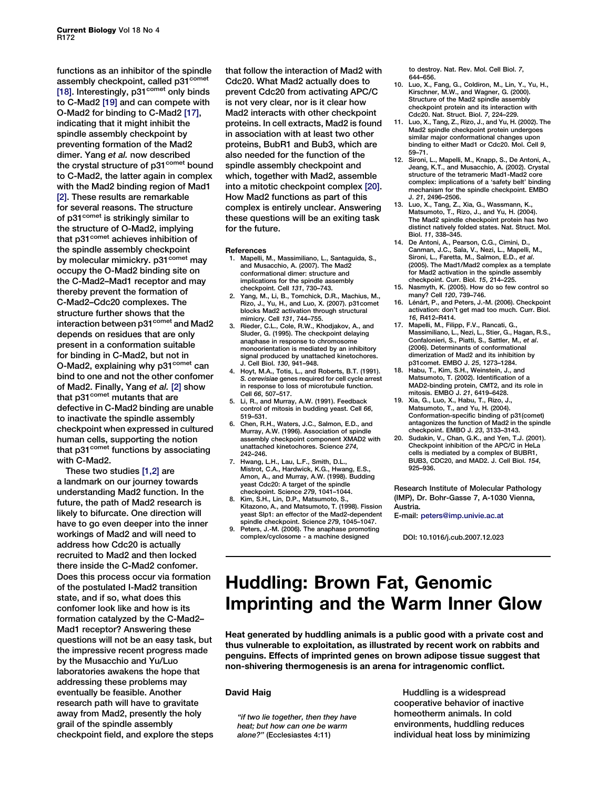functions as an inhibitor of the spindle assembly checkpoint, called p31<sup>comet</sup> [18]. Interestingly, p31<sup>comet</sup> only binds to C-Mad2 [19] and can compete with O-Mad2 for binding to C-Mad2 [17], indicating that it might inhibit the spindle assembly checkpoint by preventing formation of the Mad2 dimer. Yang et al. now described the crystal structure of p31<sup>comet</sup> bound to C-Mad2, the latter again in complex with the Mad2 binding region of Mad1 [2]. These results are remarkable for several reasons. The structure of p31<sup>comet</sup> is strikingly similar to the structure of O-Mad2, implying that p31<sup>comet</sup> achieves inhibition of the spindle assembly checkpoint by molecular mimickry. p31<sup>comet</sup> may occupy the O-Mad2 binding site on the C-Mad2–Mad1 receptor and may thereby prevent the formation of C-Mad2–Cdc20 complexes. The structure further shows that the interaction between p31<sup>comet</sup> and Mad2 depends on residues that are only present in a conformation suitable for binding in C-Mad2, but not in O-Mad2, explaining why p31<sup>comet</sup> can bind to one and not the other confomer of Mad2. Finally, Yang et al. [2] show that p31<sup>comet</sup> mutants that are defective in C-Mad2 binding are unable to inactivate the spindle assembly checkpoint when expressed in cultured human cells, supporting the notion that p31<sup>comet</sup> functions by associating with C-Mad2.

These two studies [1,2] are a landmark on our journey towards understanding Mad2 function. In the future, the path of Mad2 research is likely to bifurcate. One direction will have to go even deeper into the inner workings of Mad2 and will need to address how Cdc20 is actually recruited to Mad2 and then locked there inside the C-Mad2 confomer. Does this process occur via formation of the postulated I-Mad2 transition state, and if so, what does this confomer look like and how is its formation catalyzed by the C-Mad2– Mad1 receptor? Answering these questions will not be an easy task, but the impressive recent progress made by the Musacchio and Yu/Luo laboratories awakens the hope that addressing these problems may eventually be feasible. Another research path will have to gravitate away from Mad2, presently the holy grail of the spindle assembly checkpoint field, and explore the steps that follow the interaction of Mad2 with Cdc20. What Mad2 actually does to prevent Cdc20 from activating APC/C is not very clear, nor is it clear how Mad2 interacts with other checkpoint proteins. In cell extracts, Mad2 is found in association with at least two other proteins, BubR1 and Bub3, which are also needed for the function of the spindle assembly checkpoint and which, together with Mad2, assemble into a mitotic checkpoint complex [20]. How Mad2 functions as part of this complex is entirely unclear. Answering these questions will be an exiting task for the future.

### References

- 1. Mapelli, M., Massimiliano, L., Santaguida, S., and Musacchio, A. (2007). The Mad2 conformational dimer: structure and implications for the spindle assembly checkpoint. Cell 131, 730–743.
- 2. Yang, M., Li, B., Tomchick, D.R., Machius, M., Rizo, J., Yu, H., and Luo, X. (2007). p31comet blocks Mad2 activation through structural mimicry. Cell 131, 744–755.
- 3. Rieder, C.L., Cole, R.W., Khodjakov, A., and Sluder, G. (1995). The checkpoint delaying anaphase in response to chromosome monoorientation is mediated by an inhibitory signal produced by unattached kinetochores. J. Cell Biol. 130, 941–948.
- 4. Hoyt, M.A., Totis, L., and Roberts, B.T. (1991). S. cerevisiae genes required for cell cycle arrest in response to loss of microtubule function. Cell 66, 507–517.
- 5. Li, R., and Murray, A.W. (1991). Feedback control of mitosis in budding yeast. Cell 66, 519–531.
- 6. Chen, R.H., Waters, J.C., Salmon, E.D., and Murray, A.W. (1996). Association of spindle assembly checkpoint component XMAD2 with unattached kinetochores. Science 274, 242–246.
- 7. Hwang, L.H., Lau, L.F., Smith, D.L., Mistrot, C.A., Hardwick, K.G., Hwang, E.S., Amon, A., and Murray, A.W. (1998). Budding yeast Cdc20: A target of the spindle checkpoint. Science 279, 1041–1044.
- 8. Kim, S.H., Lin, D.P., Matsumoto, S., Kitazono, A., and Matsumoto, T. (1998). Fission yeast Slp1: an effector of the Mad2-dependent spindle checkpoint. Science 279, 1045–1047.
- 9. Peters, J.-M. (2006). The anaphase promoting complex/cyclosome - a machine designed

to destroy. Nat. Rev. Mol. Cell Biol. 7, 644–656.

- 10. Luo, X., Fang, G., Coldiron, M., Lin, Y., Yu, H., Kirschner, M.W., and Wagner, G. (2000). Structure of the Mad2 spindle assembly checkpoint protein and its interaction with Cdc20. Nat. Struct. Biol. 7, 224–229.
- 11. Luo, X., Tang, Z., Rizo, J., and Yu, H. (2002). The Mad2 spindle checkpoint protein undergoes similar major conformational changes upon binding to either Mad1 or Cdc20. Mol. Cell 9, 59–71.
- 12. Sironi, L., Mapelli, M., Knapp, S., De Antoni, A., Jeang, K.T., and Musacchio, A. (2002). Crystal structure of the tetrameric Mad1-Mad2 core complex: implications of a 'safety belt' binding mechanism for the spindle checkpoint. EMBO J. 21, 2496–2506.
- 13. Luo, X., Tang, Z., Xia, G., Wassmann, K., Matsumoto, T., Rizo, J., and Yu, H. (2004). The Mad2 spindle checkpoint protein has two distinct natively folded states. Nat. Struct. Mol. Biol. 11, 338–345.
- 14. De Antoni, A., Pearson, C.G., Cimini, D., Canman, J.C., Sala, V., Nezi, L., Mapelli, M., Sironi, L., Faretta, M., Salmon, E.D., et al. (2005). The Mad1/Mad2 complex as a template for Mad2 activation in the spindle assembly checkpoint. Curr. Biol. 15, 214–225.
- 15. Nasmyth, K. (2005). How do so few control so many? Cell 120, 739-746.
- 16. Lénárt, P., and Peters, J.-M. (2006). Checkpoint activation: don't get mad too much. Curr. Biol. 16, R412–R414.
- 17. Mapelli, M., Filipp, F.V., Rancati, G., Massimiliano, L., Nezi, L., Stier, G., Hagan, R.S.,<br>Confalonieri, S., Piatti, S., Sattler, M., *et al*. (2006). Determinants of conformational dimerization of Mad2 and its inhibition by p31comet. EMBO J. 25, 1273–1284.
- 18. Habu, T., Kim, S.H., Weinstein, J., and Matsumoto, T. (2002). Identification of a MAD2-binding protein, CMT2, and its role in mitosis. EMBO J. 21, 6419–6428.
- 19. Xia, G., Luo, X., Habu, T., Rizo, J., Matsumoto, T., and Yu, H. (2004). Conformation-specific binding of p31(comet) antagonizes the function of Mad2 in the spindle checkpoint. EMBO J. 23, 3133–3143.
- 20. Sudakin, V., Chan, G.K., and Yen, T.J. (2001). Checkpoint inhibition of the APC/C in HeLa cells is mediated by a complex of BUBR1, BUB3, CDC20, and MAD2. J. Cell Biol. 154, 925–936.

Research Institute of Molecular Pathology (IMP), Dr. Bohr-Gasse 7, A-1030 Vienna, Austria.

E-mail: peters@imp.univie.ac.at

DOI: 10.1016/j.cub.2007.12.023

# Huddling: Brown Fat, Genomic Imprinting and the Warm Inner Glow

Heat generated by huddling animals is a public good with a private cost and thus vulnerable to exploitation, as illustrated by recent work on rabbits and penguins. Effects of imprinted genes on brown adipose tissue suggest that non-shivering thermogenesis is an arena for intragenomic conflict.

## David Haig

"if two lie together, then they have heat; but how can one be warm alone?'' (Ecclesiastes 4:11)

Huddling is a widespread cooperative behavior of inactive homeotherm animals. In cold environments, huddling reduces individual heat loss by minimizing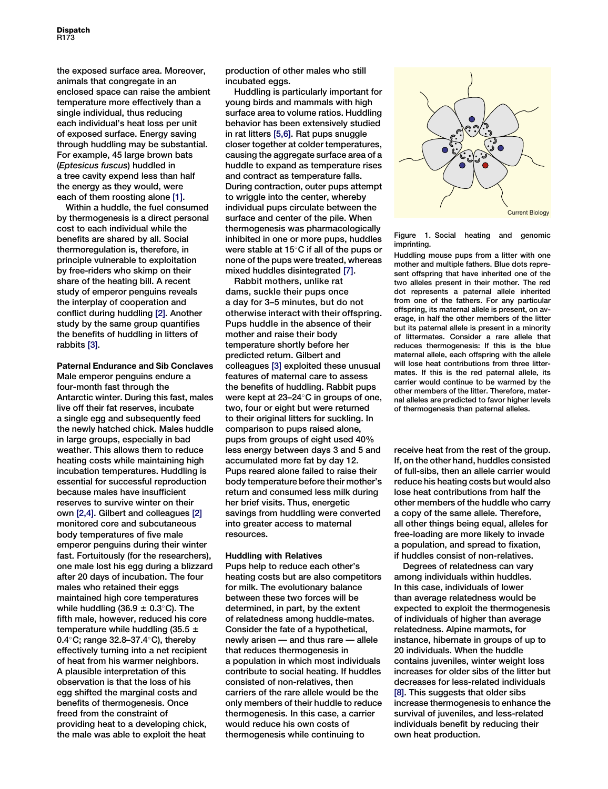<span id="page-1-0"></span>**Dispatch** R173

the exposed surface area. Moreover, animals that congregate in an enclosed space can raise the ambient temperature more effectively than a single individual, thus reducing each individual's heat loss per unit of exposed surface. Energy saving through huddling may be substantial. For example, 45 large brown bats (Eptesicus fuscus) huddled in a tree cavity expend less than half the energy as they would, were each of them roosting alone [\[1\]](#page-2-0).

Within a huddle, the fuel consumed by thermogenesis is a direct personal cost to each individual while the benefits are shared by all. Social thermoregulation is, therefore, in principle vulnerable to exploitation by free-riders who skimp on their share of the heating bill. A recent study of emperor penguins reveals the interplay of cooperation and conflict during huddling [\[2\]](#page-2-0). Another study by the same group quantifies the benefits of huddling in litters of rabbits [\[3\].](#page-2-0)

Paternal Endurance and Sib Conclaves Male emperor penguins endure a four-month fast through the Antarctic winter. During this fast, males live off their fat reserves, incubate a single egg and subsequently feed the newly hatched chick. Males huddle in large groups, especially in bad weather. This allows them to reduce heating costs while maintaining high incubation temperatures. Huddling is essential for successful reproduction because males have insufficient reserves to survive winter on their own [\[2,4\].](#page-2-0) Gilbert and colleagues [\[2\]](#page-2-0) monitored core and subcutaneous body temperatures of five male emperor penguins during their winter fast. Fortuitously (for the researchers), one male lost his egg during a blizzard after 20 days of incubation. The four males who retained their eggs maintained high core temperatures while huddling (36.9  $\pm$  0.3°C). The fifth male, however, reduced his core temperature while huddling (35.5  $\pm$  $0.4^{\circ}$ C; range 32.8–37.4 $^{\circ}$ C), thereby effectively turning into a net recipient of heat from his warmer neighbors. A plausible interpretation of this observation is that the loss of his egg shifted the marginal costs and benefits of thermogenesis. Once freed from the constraint of providing heat to a developing chick, the male was able to exploit the heat

production of other males who still incubated eggs.

Huddling is particularly important for young birds and mammals with high surface area to volume ratios. Huddling behavior has been extensively studied in rat litters [\[5,6\].](#page-2-0) Rat pups snuggle closer together at colder temperatures, causing the aggregate surface area of a huddle to expand as temperature rises and contract as temperature falls. During contraction, outer pups attempt to wriggle into the center, whereby individual pups circulate between the surface and center of the pile. When thermogenesis was pharmacologically inhibited in one or more pups, huddles were stable at 15 $\mathrm{^{\circ}C}$  if all of the pups or none of the pups were treated, whereas mixed huddles disintegrated [\[7\].](#page-2-0)

Rabbit mothers, unlike rat dams, suckle their pups once a day for 3–5 minutes, but do not otherwise interact with their offspring. Pups huddle in the absence of their mother and raise their body temperature shortly before her predicted return. Gilbert and colleagues [\[3\]](#page-2-0) exploited these unusual features of maternal care to assess the benefits of huddling. Rabbit pups were kept at 23-24°C in groups of one, two, four or eight but were returned to their original litters for suckling. In comparison to pups raised alone, pups from groups of eight used 40% less energy between days 3 and 5 and accumulated more fat by day 12. Pups reared alone failed to raise their body temperature before their mother's return and consumed less milk during her brief visits. Thus, energetic savings from huddling were converted into greater access to maternal resources.

## Huddling with Relatives

Pups help to reduce each other's heating costs but are also competitors for milk. The evolutionary balance between these two forces will be determined, in part, by the extent of relatedness among huddle-mates. Consider the fate of a hypothetical, newly arisen — and thus rare — allele that reduces thermogenesis in a population in which most individuals contribute to social heating. If huddles consisted of non-relatives, then carriers of the rare allele would be the only members of their huddle to reduce thermogenesis. In this case, a carrier would reduce his own costs of thermogenesis while continuing to



Figure 1. Social heating and genomic imprinting.

Huddling mouse pups from a litter with one mother and multiple fathers. Blue dots represent offspring that have inherited one of the two alleles present in their mother. The red dot represents a paternal allele inherited from one of the fathers. For any particular offspring, its maternal allele is present, on average, in half the other members of the litter but its paternal allele is present in a minority of littermates. Consider a rare allele that reduces thermogenesis: If this is the blue maternal allele, each offspring with the allele will lose heat contributions from three littermates. If this is the red paternal allele, its carrier would continue to be warmed by the other members of the litter. Therefore, maternal alleles are predicted to favor higher levels of thermogenesis than paternal alleles.

receive heat from the rest of the group. If, on the other hand, huddles consisted of full-sibs, then an allele carrier would reduce his heating costs but would also lose heat contributions from half the other members of the huddle who carry a copy of the same allele. Therefore, all other things being equal, alleles for free-loading are more likely to invade a population, and spread to fixation, if huddles consist of non-relatives.

Degrees of relatedness can vary among individuals within huddles. In this case, individuals of lower than average relatedness would be expected to exploit the thermogenesis of individuals of higher than average relatedness. Alpine marmots, for instance, hibernate in groups of up to 20 individuals. When the huddle contains juveniles, winter weight loss increases for older sibs of the litter but decreases for less-related individuals [\[8\]](#page-2-0). This suggests that older sibs increase thermogenesis to enhance the survival of juveniles, and less-related individuals benefit by reducing their own heat production.